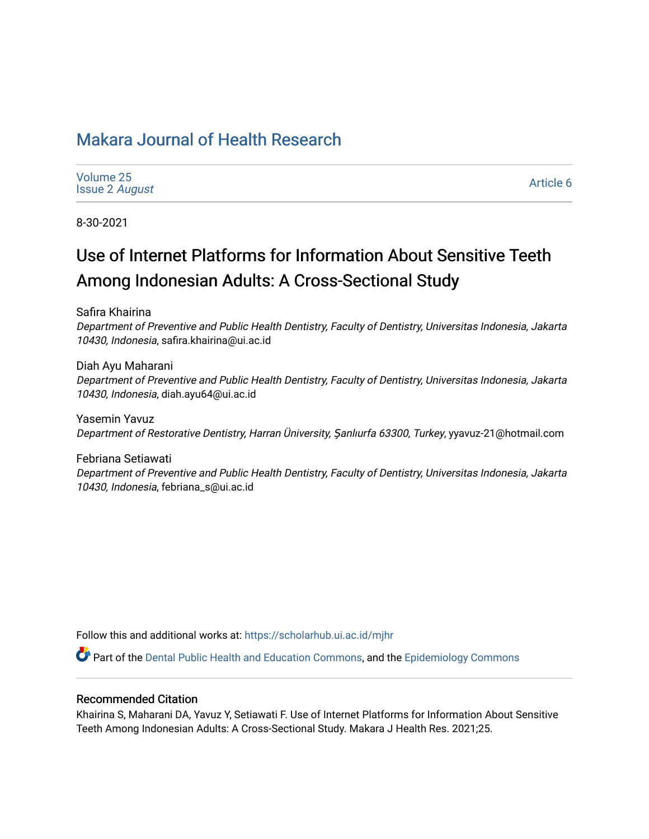# [Makara Journal of Health Research](https://scholarhub.ui.ac.id/mjhr)

| Volume 25             |  |
|-----------------------|--|
| <b>Issue 2 August</b> |  |

[Article 6](https://scholarhub.ui.ac.id/mjhr/vol25/iss2/6) 

8-30-2021

# Use of Internet Platforms for Information About Sensitive Teeth Among Indonesian Adults: A Cross-Sectional Study

Safira Khairina

Department of Preventive and Public Health Dentistry, Faculty of Dentistry, Universitas Indonesia, Jakarta 10430, Indonesia, safira.khairina@ui.ac.id

Diah Ayu Maharani Department of Preventive and Public Health Dentistry, Faculty of Dentistry, Universitas Indonesia, Jakarta 10430, Indonesia, diah.ayu64@ui.ac.id

Yasemin Yavuz Department of Restorative Dentistry, Harran Üniversity, Şanlıurfa 63300, Turkey, yyavuz-21@hotmail.com

Febriana Setiawati Department of Preventive and Public Health Dentistry, Faculty of Dentistry, Universitas Indonesia, Jakarta 10430, Indonesia, febriana\_s@ui.ac.id

Follow this and additional works at: [https://scholarhub.ui.ac.id/mjhr](https://scholarhub.ui.ac.id/mjhr?utm_source=scholarhub.ui.ac.id%2Fmjhr%2Fvol25%2Fiss2%2F6&utm_medium=PDF&utm_campaign=PDFCoverPages)

Part of the [Dental Public Health and Education Commons,](http://network.bepress.com/hgg/discipline/653?utm_source=scholarhub.ui.ac.id%2Fmjhr%2Fvol25%2Fiss2%2F6&utm_medium=PDF&utm_campaign=PDFCoverPages) and the [Epidemiology Commons](http://network.bepress.com/hgg/discipline/740?utm_source=scholarhub.ui.ac.id%2Fmjhr%2Fvol25%2Fiss2%2F6&utm_medium=PDF&utm_campaign=PDFCoverPages)

# Recommended Citation

Khairina S, Maharani DA, Yavuz Y, Setiawati F. Use of Internet Platforms for Information About Sensitive Teeth Among Indonesian Adults: A Cross-Sectional Study. Makara J Health Res. 2021;25.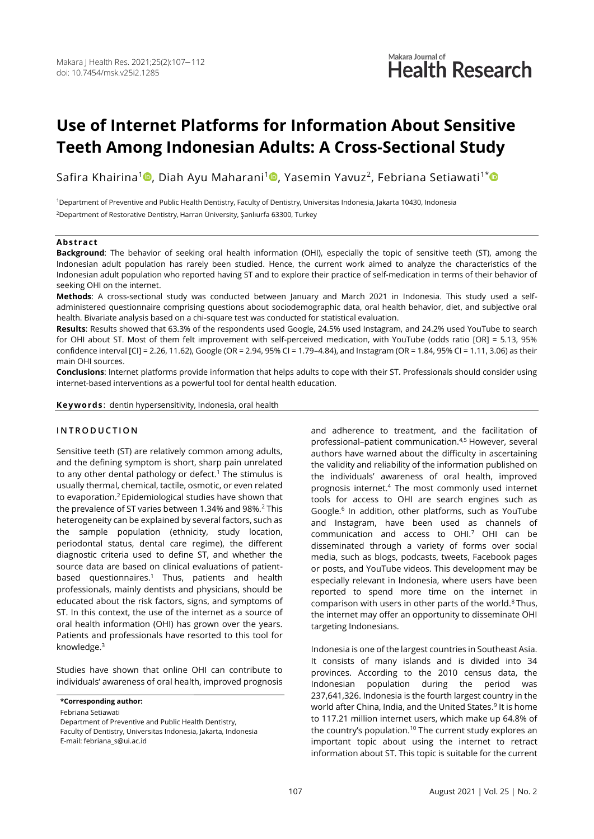# **Use of Internet Platforms for Information About Sensitive Teeth Among Indonesian Adults: A Cross-Sectional Study**

Safira Khairina<sup>1</sup>©, Diah Ayu Maharani<sup>1</sup>©, Yasemin Yavuz<sup>2</sup>, Febriana Setiawati<sup>1\*</sup>

<sup>1</sup>Department of Preventive and Public Health Dentistry, Faculty of Dentistry, Universitas Indonesia, Jakarta 10430, Indonesia <sup>2</sup>Department of Restorative Dentistry, Harran Üniversity, Şanlıurfa 63300, Turkey

#### **Abstract**

**Background**: The behavior of seeking oral health information (OHI), especially the topic of sensitive teeth (ST), among the Indonesian adult population has rarely been studied. Hence, the current work aimed to analyze the characteristics of the Indonesian adult population who reported having ST and to explore their practice of self-medication in terms of their behavior of seeking OHI on the internet.

**Methods**: A cross-sectional study was conducted between January and March 2021 in Indonesia. This study used a selfadministered questionnaire comprising questions about sociodemographic data, oral health behavior, diet, and subjective oral health. Bivariate analysis based on a chi-square test was conducted for statistical evaluation.

**Results**: Results showed that 63.3% of the respondents used Google, 24.5% used Instagram, and 24.2% used YouTube to search for OHI about ST. Most of them felt improvement with self-perceived medication, with YouTube (odds ratio [OR] = 5.13, 95% confidence interval [CI] = 2.26, 11.62), Google (OR = 2.94, 95% CI = 1.79–4.84), and Instagram (OR = 1.84, 95% CI = 1.11, 3.06) as their main OHI sources.

**Conclusions**: Internet platforms provide information that helps adults to cope with their ST. Professionals should consider using internet-based interventions as a powerful tool for dental health education.

**Keywords** : dentin hypersensitivity, Indonesia, oral health

#### **I N T R O D U C T I O N**

Sensitive teeth (ST) are relatively common among adults, and the defining symptom is short, sharp pain unrelated to any other dental pathology or defect.<sup>1</sup> The stimulus is usually thermal, chemical, tactile, osmotic, or even related to evaporation.<sup>2</sup>Epidemiological studies have shown that the prevalence of ST varies between 1.34% and 98%.<sup>2</sup> This heterogeneity can be explained by several factors, such as the sample population (ethnicity, study location, periodontal status, dental care regime), the different diagnostic criteria used to define ST, and whether the source data are based on clinical evaluations of patientbased questionnaires.<sup>1</sup> Thus, patients and health professionals, mainly dentists and physicians, should be educated about the risk factors, signs, and symptoms of ST. In this context, the use of the internet as a source of oral health information (OHI) has grown over the years. Patients and professionals have resorted to this tool for knowledge.<sup>3</sup>

Studies have shown that online OHI can contribute to individuals' awareness of oral health, improved prognosis

**\*Corresponding author:**

Febriana Setiawati

Department of Preventive and Public Health Dentistry,

Faculty of Dentistry, Universitas Indonesia, Jakarta, Indonesia E-mail: febriana\_s@ui.ac.id

and adherence to treatment, and the facilitation of professional–patient communication.4,5 However, several authors have warned about the difficulty in ascertaining the validity and reliability of the information published on the individuals' awareness of oral health, improved prognosis internet.<sup>4</sup> The most commonly used internet tools for access to OHI are search engines such as Google.<sup>6</sup> In addition, other platforms, such as YouTube and Instagram, have been used as channels of communication and access to OHI.<sup>7</sup> OHI can be disseminated through a variety of forms over social media, such as blogs, podcasts, tweets, Facebook pages or posts, and YouTube videos. This development may be especially relevant in Indonesia, where users have been reported to spend more time on the internet in comparison with users in other parts of the world.<sup>8</sup> Thus, the internet may offer an opportunity to disseminate OHI targeting Indonesians.

Indonesia is one of the largest countries in Southeast Asia. It consists of many islands and is divided into 34 provinces. According to the 2010 census data, the Indonesian population during the period was 237,641,326. Indonesia is the fourth largest country in the world after China, India, and the United States.<sup>9</sup> It is home to 117.21 million internet users, which make up 64.8% of the country's population.<sup>10</sup> The current study explores an important topic about using the internet to retract information about ST. This topic is suitable for the current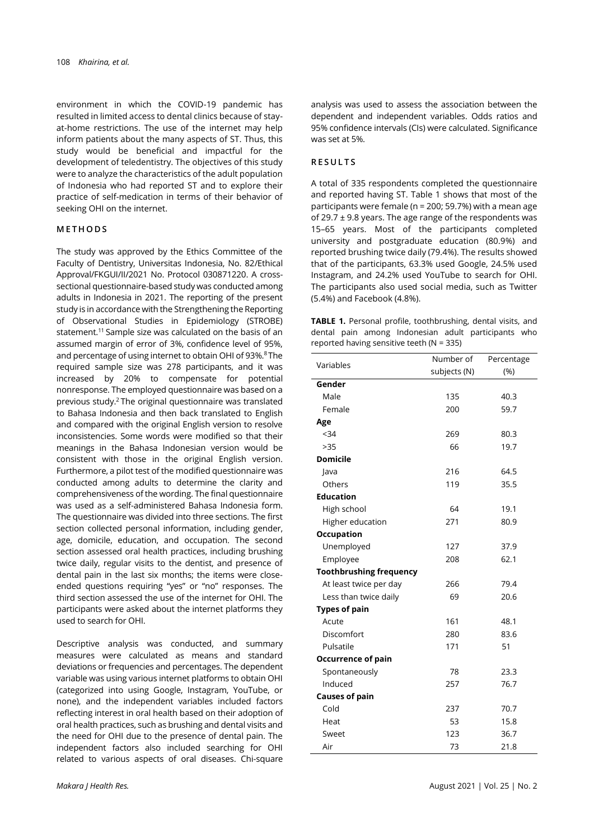environment in which the COVID-19 pandemic has resulted in limited access to dental clinics because of stayat-home restrictions. The use of the internet may help inform patients about the many aspects of ST. Thus, this study would be beneficial and impactful for the development of teledentistry. The objectives of this study were to analyze the characteristics of the adult population of Indonesia who had reported ST and to explore their practice of self-medication in terms of their behavior of seeking OHI on the internet.

### **M E T H O D S**

The study was approved by the Ethics Committee of the Faculty of Dentistry, Universitas Indonesia, No. 82/Ethical Approval/FKGUI/II/2021 No. Protocol 030871220. A crosssectional questionnaire-based study was conducted among adults in Indonesia in 2021. The reporting of the present study is in accordance with the Strengthening the Reporting of Observational Studies in Epidemiology (STROBE) statement.<sup>11</sup> Sample size was calculated on the basis of an assumed margin of error of 3%, confidence level of 95%, and percentage of using internet to obtain OHI of 93%.<sup>8</sup>The required sample size was 278 participants, and it was increased by 20% to compensate for potential nonresponse. The employed questionnaire was based on a previous study.<sup>2</sup>The original questionnaire was translated to Bahasa Indonesia and then back translated to English and compared with the original English version to resolve inconsistencies. Some words were modified so that their meanings in the Bahasa Indonesian version would be consistent with those in the original English version. Furthermore, a pilot test of the modified questionnaire was conducted among adults to determine the clarity and comprehensiveness of the wording. The final questionnaire was used as a self-administered Bahasa Indonesia form. The questionnaire was divided into three sections. The first section collected personal information, including gender, age, domicile, education, and occupation. The second section assessed oral health practices, including brushing twice daily, regular visits to the dentist, and presence of dental pain in the last six months; the items were closeended questions requiring "yes" or "no" responses. The third section assessed the use of the internet for OHI. The participants were asked about the internet platforms they used to search for OHI.

Descriptive analysis was conducted, and summary measures were calculated as means and standard deviations or frequencies and percentages. The dependent variable was using various internet platforms to obtain OHI (categorized into using Google, Instagram, YouTube, or none), and the independent variables included factors reflecting interest in oral health based on their adoption of oral health practices, such as brushing and dental visits and the need for OHI due to the presence of dental pain. The independent factors also included searching for OHI related to various aspects of oral diseases. Chi-square analysis was used to assess the association between the dependent and independent variables. Odds ratios and 95% confidence intervals (CIs) were calculated. Significance was set at 5%.

#### **R E S U L T S**

A total of 335 respondents completed the questionnaire and reported having ST. Table 1 shows that most of the participants were female (n = 200; 59.7%) with a mean age of 29.7  $\pm$  9.8 years. The age range of the respondents was 15–65 years. Most of the participants completed university and postgraduate education (80.9%) and reported brushing twice daily (79.4%). The results showed that of the participants, 63.3% used Google, 24.5% used Instagram, and 24.2% used YouTube to search for OHI. The participants also used social media, such as Twitter (5.4%) and Facebook (4.8%).

**TABLE 1.** Personal profile, toothbrushing, dental visits, and dental pain among Indonesian adult participants who reported having sensitive teeth (N = 335)

| Variables                      | Number of    | Percentage |  |
|--------------------------------|--------------|------------|--|
|                                | subjects (N) | (%)        |  |
| Gender                         |              |            |  |
| Male                           | 135          | 40.3       |  |
| Female                         | 200          | 59.7       |  |
| Age                            |              |            |  |
| < 34                           | 269          | 80.3       |  |
| >35                            | 66           | 19.7       |  |
| <b>Domicile</b>                |              |            |  |
| Java                           | 216          | 64.5       |  |
| Others                         | 119          | 35.5       |  |
| <b>Education</b>               |              |            |  |
| High school                    | 64           | 19.1       |  |
| Higher education               | 271          | 80.9       |  |
| <b>Occupation</b>              |              |            |  |
| Unemployed                     | 127          | 37.9       |  |
| Employee                       | 208          | 62.1       |  |
| <b>Toothbrushing frequency</b> |              |            |  |
| At least twice per day         | 266          | 79.4       |  |
| Less than twice daily          | 69           | 20.6       |  |
| <b>Types of pain</b>           |              |            |  |
| Acute                          | 161          | 48.1       |  |
| Discomfort                     | 280          | 83.6       |  |
| Pulsatile                      | 171          | 51         |  |
| <b>Occurrence of pain</b>      |              |            |  |
| Spontaneously                  | 78           | 23.3       |  |
| Induced                        | 257          | 76.7       |  |
| <b>Causes of pain</b>          |              |            |  |
| Cold                           | 237          | 70.7       |  |
| Heat                           | 53           | 15.8       |  |
| Sweet                          | 123          | 36.7       |  |
| Air                            | 73           | 21.8       |  |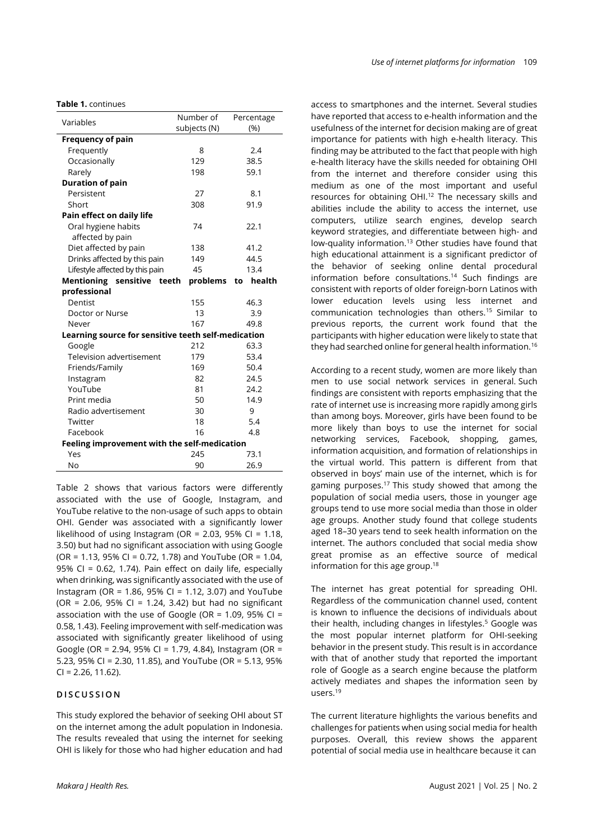**Table 1.** continues

| Variables                                           | Number of    | Percentage   |  |  |  |  |  |
|-----------------------------------------------------|--------------|--------------|--|--|--|--|--|
|                                                     | subjects (N) | (%)          |  |  |  |  |  |
| <b>Frequency of pain</b>                            |              |              |  |  |  |  |  |
| Frequently                                          | 8            | 2.4          |  |  |  |  |  |
| Occasionally                                        | 129          | 38.5         |  |  |  |  |  |
| Rarely                                              | 198          | 59.1         |  |  |  |  |  |
| <b>Duration of pain</b>                             |              |              |  |  |  |  |  |
| Persistent                                          | 27           | 8.1          |  |  |  |  |  |
| Short                                               | 308          | 91.9         |  |  |  |  |  |
| Pain effect on daily life                           |              |              |  |  |  |  |  |
| Oral hygiene habits<br>affected by pain             | 74           | 22.1         |  |  |  |  |  |
| Diet affected by pain                               | 138          | 41.2         |  |  |  |  |  |
| Drinks affected by this pain                        | 149          | 44.5         |  |  |  |  |  |
| Lifestyle affected by this pain                     | 45           | 13.4         |  |  |  |  |  |
| <b>Mentioning sensitive</b><br>teeth                | problems     | health<br>to |  |  |  |  |  |
| professional                                        |              |              |  |  |  |  |  |
| Dentist                                             | 155          | 46.3         |  |  |  |  |  |
| Doctor or Nurse                                     | 13           | 3.9          |  |  |  |  |  |
| Never                                               | 167          | 49.8         |  |  |  |  |  |
| Learning source for sensitive teeth self-medication |              |              |  |  |  |  |  |
| Google                                              | 212          | 63.3         |  |  |  |  |  |
| <b>Television advertisement</b>                     | 179          | 53.4         |  |  |  |  |  |
| Friends/Family                                      | 169          | 50.4         |  |  |  |  |  |
| Instagram                                           | 82           | 24.5         |  |  |  |  |  |
| YouTube                                             | 81           | 24.2         |  |  |  |  |  |
| Print media                                         | 50           | 14.9         |  |  |  |  |  |
| Radio advertisement                                 | 30           | 9            |  |  |  |  |  |
| Twitter                                             | 18           | 5.4          |  |  |  |  |  |
| Facebook                                            | 16           | 4.8          |  |  |  |  |  |
| Feeling improvement with the self-medication        |              |              |  |  |  |  |  |
| Yes                                                 | 245          | 73.1         |  |  |  |  |  |
| No                                                  | 90           | 26.9         |  |  |  |  |  |

Table 2 shows that various factors were differently associated with the use of Google, Instagram, and YouTube relative to the non-usage of such apps to obtain OHI. Gender was associated with a significantly lower likelihood of using Instagram (OR = 2.03, 95% CI = 1.18, 3.50) but had no significant association with using Google (OR = 1.13, 95% CI = 0.72, 1.78) and YouTube (OR = 1.04, 95% CI = 0.62, 1.74). Pain effect on daily life, especially when drinking, was significantly associated with the use of Instagram (OR = 1.86, 95% CI = 1.12, 3.07) and YouTube (OR = 2.06, 95% CI = 1.24, 3.42) but had no significant association with the use of Google (OR =  $1.09$ , 95% CI = 0.58, 1.43). Feeling improvement with self-medication was associated with significantly greater likelihood of using Google (OR = 2.94, 95% CI = 1.79, 4.84), Instagram (OR = 5.23, 95% CI = 2.30, 11.85), and YouTube (OR = 5.13, 95%  $Cl = 2.26, 11.62$ ).

# **D I S C U S S I O N**

This study explored the behavior of seeking OHI about ST on the internet among the adult population in Indonesia. The results revealed that using the internet for seeking OHI is likely for those who had higher education and had

access to smartphones and the internet. Several studies have reported that access to e-health information and the usefulness of the internet for decision making are of great importance for patients with high e-health literacy. This finding may be attributed to the fact that people with high e-health literacy have the skills needed for obtaining OHI from the internet and therefore consider using this medium as one of the most important and useful resources for obtaining OHI.<sup>12</sup> The necessary skills and abilities include the ability to access the internet, use computers, utilize search engines, develop search keyword strategies, and differentiate between high- and low-quality information.<sup>13</sup> Other studies have found that high educational attainment is a significant predictor of the behavior of seeking online dental procedural information before consultations.<sup>14</sup> Such findings are consistent with reports of older foreign-born Latinos with lower education levels using less internet and communication technologies than others.<sup>15</sup> Similar to previous reports, the current work found that the participants with higher education were likely to state that they had searched online for general health information.<sup>16</sup>

According to a recent study, women are more likely than men to use social network services in general. Such findings are consistent with reports emphasizing that the rate of internet use is increasing more rapidly among girls than among boys. Moreover, girls have been found to be more likely than boys to use the internet for social networking services, Facebook, shopping, games, information acquisition, and formation of relationships in the virtual world. This pattern is different from that observed in boys' main use of the internet, which is for gaming purposes.<sup>17</sup> This study showed that among the population of social media users, those in younger age groups tend to use more social media than those in older age groups. Another study found that college students aged 18–30 years tend to seek health information on the internet. The authors concluded that social media show great promise as an effective source of medical information for this age group.<sup>18</sup>

The internet has great potential for spreading OHI. Regardless of the communication channel used, content is known to influence the decisions of individuals about their health, including changes in lifestyles.<sup>5</sup> Google was the most popular internet platform for OHI-seeking behavior in the present study. This result is in accordance with that of another study that reported the important role of Google as a search engine because the platform actively mediates and shapes the information seen by users.<sup>19</sup>

The current literature highlights the various benefits and challenges for patients when using social media for health purposes. Overall, this review shows the apparent potential of social media use in healthcare because it can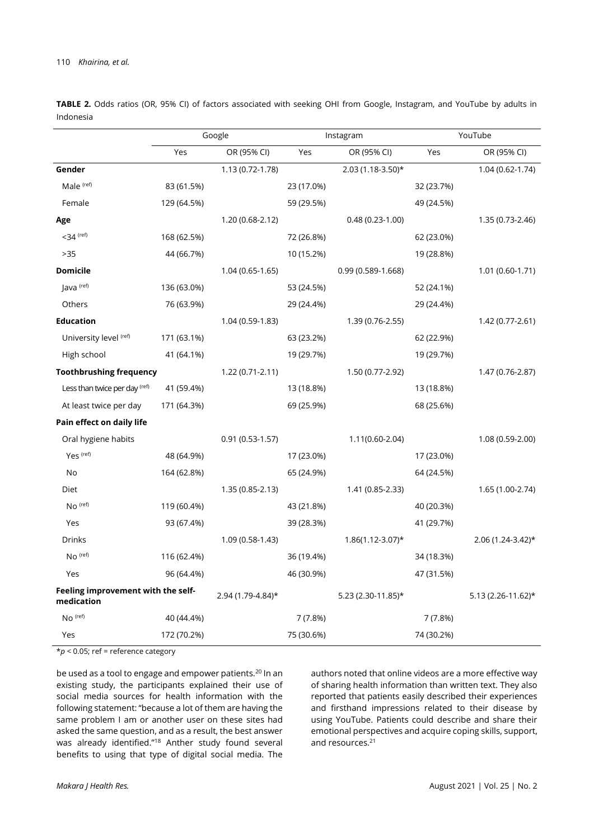|                                                  |             | Google              |            | Instagram             |            | YouTube              |
|--------------------------------------------------|-------------|---------------------|------------|-----------------------|------------|----------------------|
|                                                  | Yes         | OR (95% CI)         | Yes        | OR (95% CI)           | Yes        | OR (95% CI)          |
| Gender                                           |             | 1.13 (0.72-1.78)    |            | $2.03(1.18-3.50)*$    |            | 1.04 (0.62-1.74)     |
| Male (ref)                                       | 83 (61.5%)  |                     | 23 (17.0%) |                       | 32 (23.7%) |                      |
| Female                                           | 129 (64.5%) |                     | 59 (29.5%) |                       | 49 (24.5%) |                      |
| Age                                              |             | 1.20 (0.68-2.12)    |            | $0.48(0.23-1.00)$     |            | 1.35 (0.73-2.46)     |
| $<$ 34 $(ref)$                                   | 168 (62.5%) |                     | 72 (26.8%) |                       | 62 (23.0%) |                      |
| >35                                              | 44 (66.7%)  |                     | 10 (15.2%) |                       | 19 (28.8%) |                      |
| <b>Domicile</b>                                  |             | $1.04(0.65-1.65)$   |            | $0.99(0.589-1.668)$   |            | 1.01 (0.60-1.71)     |
| Java <sup>(ref)</sup>                            | 136 (63.0%) |                     | 53 (24.5%) |                       | 52 (24.1%) |                      |
| Others                                           | 76 (63.9%)  |                     | 29 (24.4%) |                       | 29 (24.4%) |                      |
| <b>Education</b>                                 |             | 1.04 (0.59-1.83)    |            | 1.39 (0.76-2.55)      |            | 1.42 (0.77-2.61)     |
| University level (ref)                           | 171 (63.1%) |                     | 63 (23.2%) |                       | 62 (22.9%) |                      |
| High school                                      | 41 (64.1%)  |                     | 19 (29.7%) |                       | 19 (29.7%) |                      |
| <b>Toothbrushing frequency</b>                   |             | $1.22(0.71-2.11)$   |            | 1.50 (0.77-2.92)      |            | 1.47 (0.76-2.87)     |
| Less than twice per day (ref)                    | 41 (59.4%)  |                     | 13 (18.8%) |                       | 13 (18.8%) |                      |
| At least twice per day                           | 171 (64.3%) |                     | 69 (25.9%) |                       | 68 (25.6%) |                      |
| Pain effect on daily life                        |             |                     |            |                       |            |                      |
| Oral hygiene habits                              |             | $0.91(0.53-1.57)$   |            | 1.11(0.60-2.04)       |            | 1.08 (0.59-2.00)     |
| Yes (ref)                                        | 48 (64.9%)  |                     | 17 (23.0%) |                       | 17 (23.0%) |                      |
| No                                               | 164 (62.8%) |                     | 65 (24.9%) |                       | 64 (24.5%) |                      |
| <b>Diet</b>                                      |             | $1.35(0.85 - 2.13)$ |            | 1.41 (0.85-2.33)      |            | 1.65 (1.00-2.74)     |
| No (ref)                                         | 119 (60.4%) |                     | 43 (21.8%) |                       | 40 (20.3%) |                      |
| Yes                                              | 93 (67.4%)  |                     | 39 (28.3%) |                       | 41 (29.7%) |                      |
| Drinks                                           |             | 1.09 (0.58-1.43)    |            | $1.86(1.12 - 3.07)$ * |            | $2.06(1.24-3.42)$ *  |
| No (ref)                                         | 116 (62.4%) |                     | 36 (19.4%) |                       | 34 (18.3%) |                      |
| Yes                                              | 96 (64.4%)  |                     | 46 (30.9%) |                       | 47 (31.5%) |                      |
| Feeling improvement with the self-<br>medication |             | 2.94 (1.79-4.84)*   |            | $5.23$ (2.30-11.85)*  |            | $5.13(2.26-11.62)$ * |
| No (ref)                                         | 40 (44.4%)  |                     | 7(7.8%)    |                       | 7(7.8%)    |                      |
| Yes                                              | 172 (70.2%) |                     | 75 (30.6%) |                       | 74 (30.2%) |                      |

**TABLE 2.** Odds ratios (OR, 95% CI) of factors associated with seeking OHI from Google, Instagram, and YouTube by adults in Indonesia

\**p* < 0.05; ref = reference category

be used as a tool to engage and empower patients.<sup>20</sup> In an existing study, the participants explained their use of social media sources for health information with the following statement: "because a lot of them are having the same problem I am or another user on these sites had asked the same question, and as a result, the best answer was already identified."<sup>18</sup> Anther study found several benefits to using that type of digital social media. The

authors noted that online videos are a more effective way of sharing health information than written text. They also reported that patients easily described their experiences and firsthand impressions related to their disease by using YouTube. Patients could describe and share their emotional perspectives and acquire coping skills, support, and resources.<sup>21</sup>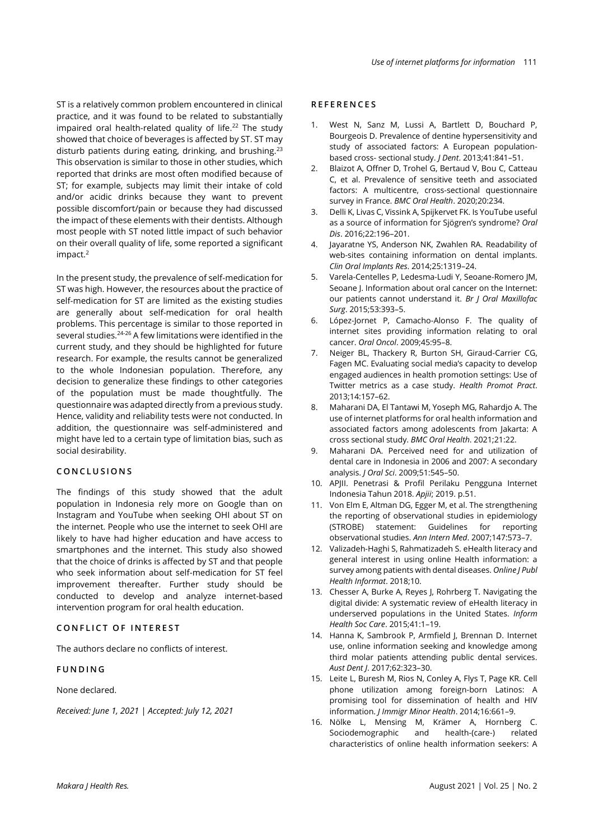ST is a relatively common problem encountered in clinical practice, and it was found to be related to substantially impaired oral health-related quality of life.<sup>22</sup> The study showed that choice of beverages is affected by ST. ST may disturb patients during eating, drinking, and brushing.<sup>23</sup> This observation is similar to those in other studies, which reported that drinks are most often modified because of ST; for example, subjects may limit their intake of cold and/or acidic drinks because they want to prevent possible discomfort/pain or because they had discussed the impact of these elements with their dentists. Although most people with ST noted little impact of such behavior on their overall quality of life, some reported a significant impact.<sup>2</sup>

In the present study, the prevalence of self-medication for ST was high. However, the resources about the practice of self-medication for ST are limited as the existing studies are generally about self-medication for oral health problems. This percentage is similar to those reported in several studies.24-26 A few limitations were identified in the current study, and they should be highlighted for future research. For example, the results cannot be generalized to the whole Indonesian population. Therefore, any decision to generalize these findings to other categories of the population must be made thoughtfully. The questionnaire was adapted directly from a previous study. Hence, validity and reliability tests were not conducted. In addition, the questionnaire was self-administered and might have led to a certain type of limitation bias, such as social desirability.

#### **C O N C L U S I O N S**

The findings of this study showed that the adult population in Indonesia rely more on Google than on Instagram and YouTube when seeking OHI about ST on the internet. People who use the internet to seek OHI are likely to have had higher education and have access to smartphones and the internet. This study also showed that the choice of drinks is affected by ST and that people who seek information about self-medication for ST feel improvement thereafter. Further study should be conducted to develop and analyze internet-based intervention program for oral health education.

### **CONFLICT OF INTEREST**

The authors declare no conflicts of interest.

# **F U N D I N G**

None declared.

*Received: June 1, 2021 | Accepted: July 12, 2021*

# **R E F E R E N C E S**

- 1. West N, Sanz M, Lussi A, Bartlett D, Bouchard P, Bourgeois D. Prevalence of dentine hypersensitivity and study of associated factors: A European populationbased cross- sectional study. *J Dent*. 2013;41:841–51.
- 2. Blaizot A, Offner D, Trohel G, Bertaud V, Bou C, Catteau C, et al. Prevalence of sensitive teeth and associated factors: A multicentre, cross-sectional questionnaire survey in France. *BMC Oral Health*. 2020;20:234.
- 3. Delli K, Livas C, Vissink A, Spijkervet FK. Is YouTube useful as a source of information for Sjögren's syndrome? *Oral Dis*. 2016;22:196–201.
- 4. Jayaratne YS, Anderson NK, Zwahlen RA. Readability of web-sites containing information on dental implants. *Clin Oral Implants Res*. 2014;25:1319–24.
- 5. Varela-Centelles P, Ledesma-Ludi Y, Seoane-Romero JM, Seoane J. Information about oral cancer on the Internet: our patients cannot understand it. *Br J Oral Maxillofac Surg*. 2015;53:393–5.
- 6. López-Jornet P, Camacho-Alonso F. The quality of internet sites providing information relating to oral cancer. *Oral Oncol*. 2009;45:95–8.
- 7. Neiger BL, Thackery R, Burton SH, Giraud-Carrier CG, Fagen MC. Evaluating social media's capacity to develop engaged audiences in health promotion settings: Use of Twitter metrics as a case study. *Health Promot Pract*. 2013;14:157–62.
- 8. Maharani DA, El Tantawi M, Yoseph MG, Rahardjo A. The use of internet platforms for oral health information and associated factors among adolescents from Jakarta: A cross sectional study. *BMC Oral Health*. 2021;21:22.
- 9. Maharani DA. Perceived need for and utilization of dental care in Indonesia in 2006 and 2007: A secondary analysis. *J Oral Sci*. 2009;51:545–50.
- 10. APJII. Penetrasi & Profil Perilaku Pengguna Internet Indonesia Tahun 2018. *Apjii*; 2019. p.51.
- 11. Von Elm E, Altman DG, Egger M, et al. The strengthening the reporting of observational studies in epidemiology (STROBE) statement: Guidelines for reporting observational studies. *Ann Intern Med*. 2007;147:573–7.
- 12. Valizadeh-Haghi S, Rahmatizadeh S. eHealth literacy and general interest in using online Health information: a survey among patients with dental diseases. *Online J Publ Health Informat*. 2018;10.
- 13. Chesser A, Burke A, Reyes J, Rohrberg T. Navigating the digital divide: A systematic review of eHealth literacy in underserved populations in the United States. *Inform Health Soc Care*. 2015;41:1–19.
- 14. Hanna K, Sambrook P, Armfield J, Brennan D. Internet use, online information seeking and knowledge among third molar patients attending public dental services. *Aust Dent J*. 2017;62:323–30.
- 15. Leite L, Buresh M, Rios N, Conley A, Flys T, Page KR. Cell phone utilization among foreign-born Latinos: A promising tool for dissemination of health and HIV information. *J Immigr Minor Health*. 2014;16:661–9.
- 16. Nölke L, Mensing M, Krämer A, Hornberg C. Sociodemographic and health-(care-) related characteristics of online health information seekers: A